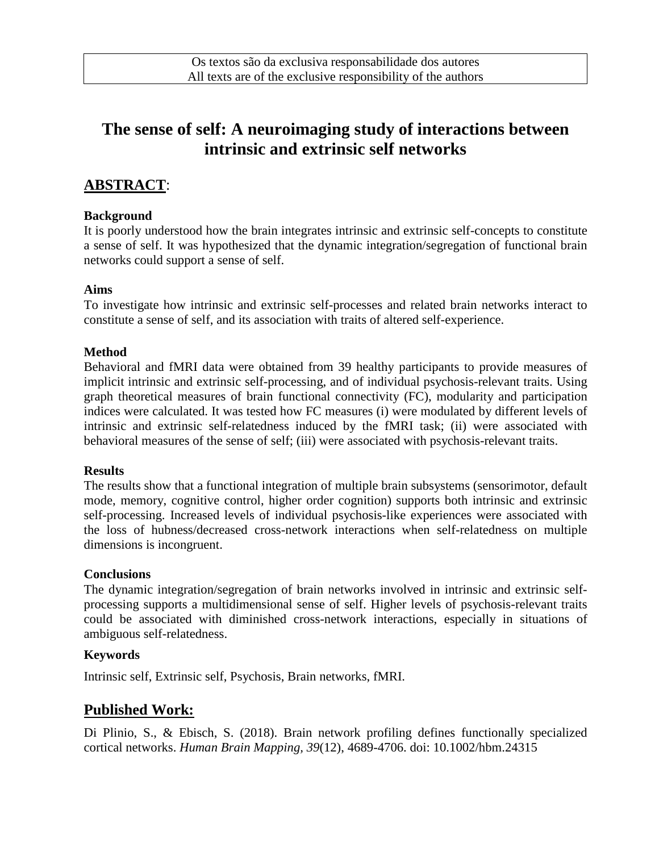# **The sense of self: A neuroimaging study of interactions between intrinsic and extrinsic self networks**

# **ABSTRACT**:

#### **Background**

It is poorly understood how the brain integrates intrinsic and extrinsic self-concepts to constitute a sense of self. It was hypothesized that the dynamic integration/segregation of functional brain networks could support a sense of self.

#### **Aims**

To investigate how intrinsic and extrinsic self-processes and related brain networks interact to constitute a sense of self, and its association with traits of altered self-experience.

## **Method**

Behavioral and fMRI data were obtained from 39 healthy participants to provide measures of implicit intrinsic and extrinsic self-processing, and of individual psychosis-relevant traits. Using graph theoretical measures of brain functional connectivity (FC), modularity and participation indices were calculated. It was tested how FC measures (i) were modulated by different levels of intrinsic and extrinsic self-relatedness induced by the fMRI task; (ii) were associated with behavioral measures of the sense of self; (iii) were associated with psychosis-relevant traits.

#### **Results**

The results show that a functional integration of multiple brain subsystems (sensorimotor, default mode, memory, cognitive control, higher order cognition) supports both intrinsic and extrinsic self-processing. Increased levels of individual psychosis-like experiences were associated with the loss of hubness/decreased cross-network interactions when self-relatedness on multiple dimensions is incongruent.

## **Conclusions**

The dynamic integration/segregation of brain networks involved in intrinsic and extrinsic selfprocessing supports a multidimensional sense of self. Higher levels of psychosis-relevant traits could be associated with diminished cross-network interactions, especially in situations of ambiguous self-relatedness.

## **Keywords**

Intrinsic self, Extrinsic self, Psychosis, Brain networks, fMRI.

# **Published Work:**

Di Plinio, S., & Ebisch, S. (2018). Brain network profiling defines functionally specialized cortical networks. *Human Brain Mapping, 39*(12), 4689-4706. doi: 10.1002/hbm.24315